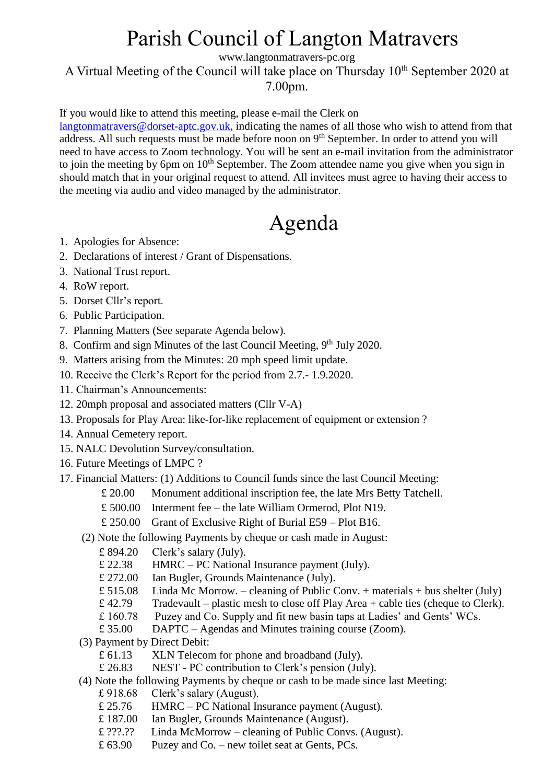## Parish Council of Langton Matravers

www.langtonmatravers-pc.org

A Virtual Meeting of the Council will take place on Thursday  $10<sup>th</sup>$  September 2020 at 7.00pm.

If you would like to attend this meeting, please e-mail the Clerk on

[langtonmatravers@dorset-aptc.gov.uk,](mailto:langtonmatravers@dorset-aptc.gov.uk) indicating the names of all those who wish to attend from that address. All such requests must be made before noon on 9<sup>th</sup> September. In order to attend you will need to have access to Zoom technology. You will be sent an e-mail invitation from the administrator to join the meeting by 6pm on  $10<sup>th</sup>$  September. The Zoom attendee name you give when you sign in should match that in your original request to attend. All invitees must agree to having their access to the meeting via audio and video managed by the administrator.

# Agenda

- 1. Apologies for Absence:
- 2. Declarations of interest / Grant of Dispensations.
- 3. National Trust report.
- 4. RoW report.
- 5. Dorset Cllr's report.
- 6. Public Participation.
- 7. Planning Matters (See separate Agenda below).
- 8. Confirm and sign Minutes of the last Council Meeting, 9<sup>th</sup> July 2020.
- 9. Matters arising from the Minutes: 20 mph speed limit update.
- 10. Receive the Clerk's Report for the period from 2.7.- 1.9.2020.
- 11. Chairman's Announcements:
- 12. 20mph proposal and associated matters (Cllr V-A)
- 13. Proposals for Play Area: like-for-like replacement of equipment or extension ?
- 14. Annual Cemetery report.
- 15. NALC Devolution Survey/consultation.
- 16. Future Meetings of LMPC ?
- 17. Financial Matters: (1) Additions to Council funds since the last Council Meeting:
	- £ 20.00 Monument additional inscription fee, the late Mrs Betty Tatchell.
	- £ 500.00 Interment fee the late William Ormerod, Plot N19.
	- £ 250.00 Grant of Exclusive Right of Burial E59 Plot B16.
	- (2) Note the following Payments by cheque or cash made in August:
		- £ 894.20 Clerk's salary (July).
		- £ 22.38 HMRC PC National Insurance payment (July).
		- £ 272.00 Ian Bugler, Grounds Maintenance (July).
		- $£ 515.08$  Linda Mc Morrow. cleaning of Public Conv. + materials + bus shelter (July)
		- £ 42.79 Tradevault plastic mesh to close off Play Area + cable ties (cheque to Clerk).
		- £ 160.78 Puzey and Co. Supply and fit new basin taps at Ladies' and Gents' WCs.
		- £ 35.00 DAPTC Agendas and Minutes training course (Zoom).
	- (3) Payment by Direct Debit:
		- £ 61.13 XLN Telecom for phone and broadband (July).
		- £ 26.83 NEST PC contribution to Clerk's pension (July).
	- (4) Note the following Payments by cheque or cash to be made since last Meeting:
		- £ 918.68 Clerk's salary (August).
		- £ 25.76 HMRC PC National Insurance payment (August).
		- £ 187.00 Ian Bugler, Grounds Maintenance (August).
		- £ ???.?? Linda McMorrow cleaning of Public Convs. (August).
		- £ 63.90 Puzey and Co. new toilet seat at Gents, PCs.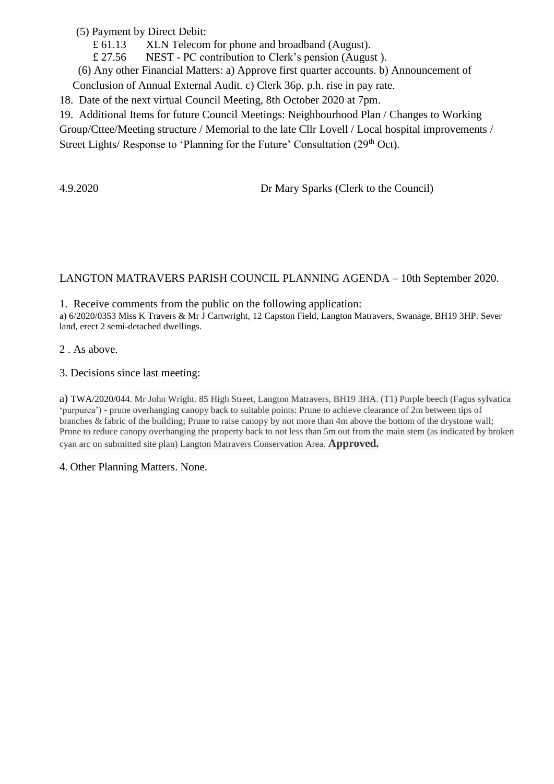(5) Payment by Direct Debit:

- £ 61.13 XLN Telecom for phone and broadband (August).
- £ 27.56 NEST PC contribution to Clerk's pension (August ).
- (6) Any other Financial Matters: a) Approve first quarter accounts. b) Announcement of

Conclusion of Annual External Audit. c) Clerk 36p. p.h. rise in pay rate.

18. Date of the next virtual Council Meeting, 8th October 2020 at 7pm.

19. Additional Items for future Council Meetings: Neighbourhood Plan / Changes to Working

Group/Cttee/Meeting structure / Memorial to the late Cllr Lovell / Local hospital improvements / Street Lights/ Response to 'Planning for the Future' Consultation (29<sup>th</sup> Oct).

4.9.2020 Dr Mary Sparks (Clerk to the Council)

### LANGTON MATRAVERS PARISH COUNCIL PLANNING AGENDA – 10th September 2020.

1. Receive comments from the public on the following application: a) 6/2020/0353 Miss K Travers & Mr J Cartwright, 12 Capston Field, Langton Matravers, Swanage, BH19 3HP. Sever land, erect 2 semi-detached dwellings.

2 . As above.

3. Decisions since last meeting:

a) TWA/2020/044. Mr John Wright. 85 High Street, Langton Matravers, BH19 3HA. (T1) Purple beech (Fagus sylvatica 'purpurea') - prune overhanging canopy back to suitable points: Prune to achieve clearance of 2m between tips of branches & fabric of the building; Prune to raise canopy by not more than 4m above the bottom of the drystone wall; Prune to reduce canopy overhanging the property back to not less than 5m out from the main stem (as indicated by broken cyan arc on submitted site plan) Langton Matravers Conservation Area. **Approved.**

4. Other Planning Matters. None.